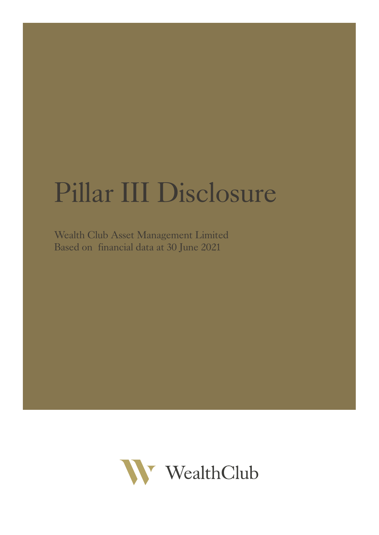# Pillar III Disclosure

Wealth Club Asset Management Limited Based on financial data at 30 June 2021

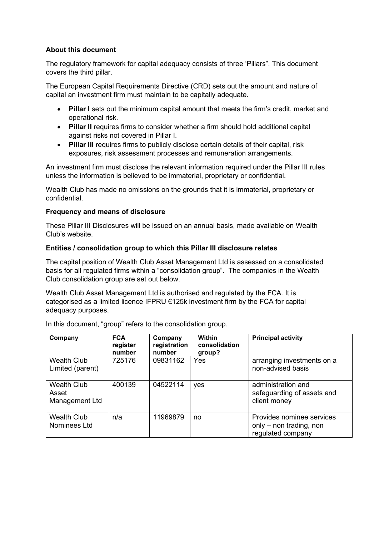## **About this document**

The regulatory framework for capital adequacy consists of three 'Pillars". This document covers the third pillar.

The European Capital Requirements Directive (CRD) sets out the amount and nature of capital an investment firm must maintain to be capitally adequate.

- **Pillar I** sets out the minimum capital amount that meets the firm's credit, market and operational risk.
- **Pillar II** requires firms to consider whether a firm should hold additional capital against risks not covered in Pillar I.
- **Pillar III** requires firms to publicly disclose certain details of their capital, risk exposures, risk assessment processes and remuneration arrangements.

An investment firm must disclose the relevant information required under the Pillar III rules unless the information is believed to be immaterial, proprietary or confidential.

Wealth Club has made no omissions on the grounds that it is immaterial, proprietary or confidential.

## **Frequency and means of disclosure**

These Pillar III Disclosures will be issued on an annual basis, made available on Wealth Club's website.

## **Entities / consolidation group to which this Pillar III disclosure relates**

The capital position of Wealth Club Asset Management Ltd is assessed on a consolidated basis for all regulated firms within a "consolidation group". The companies in the Wealth Club consolidation group are set out below.

Wealth Club Asset Management Ltd is authorised and regulated by the FCA. It is categorised as a limited licence IFPRU €125k investment firm by the FCA for capital adequacy purposes.

In this document, "group" refers to the consolidation group.

| Company                                       | <b>FCA</b><br>register<br>number | Company<br>registration<br>number | <b>Within</b><br>consolidation<br>group? | <b>Principal activity</b>                                                 |
|-----------------------------------------------|----------------------------------|-----------------------------------|------------------------------------------|---------------------------------------------------------------------------|
| <b>Wealth Club</b><br>Limited (parent)        | 725176                           | 09831162                          | Yes                                      | arranging investments on a<br>non-advised basis                           |
| <b>Wealth Club</b><br>Asset<br>Management Ltd | 400139                           | 04522114                          | yes                                      | administration and<br>safeguarding of assets and<br>client money          |
| <b>Wealth Club</b><br>Nominees Ltd            | n/a                              | 11969879                          | no                                       | Provides nominee services<br>only – non trading, non<br>regulated company |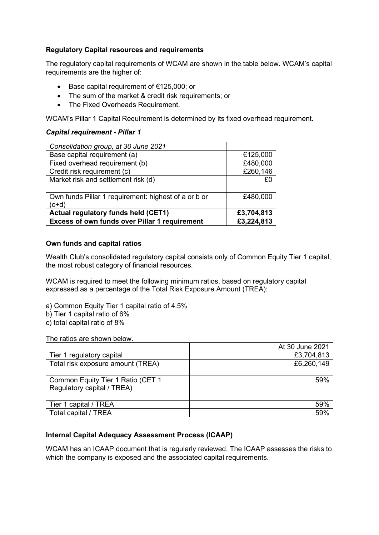## **Regulatory Capital resources and requirements**

The regulatory capital requirements of WCAM are shown in the table below. WCAM's capital requirements are the higher of:

- Base capital requirement of €125,000; or
- The sum of the market & credit risk requirements; or
- The Fixed Overheads Requirement.

WCAM's Pillar 1 Capital Requirement is determined by its fixed overhead requirement.

## *Capital requirement - Pillar 1*

| Consolidation group, at 30 June 2021                 |            |
|------------------------------------------------------|------------|
| Base capital requirement (a)                         | €125,000   |
| Fixed overhead requirement (b)                       | £480,000   |
| Credit risk requirement (c)                          | £260,146   |
| Market risk and settlement risk (d)                  | £0         |
|                                                      |            |
| Own funds Pillar 1 requirement: highest of a or b or | £480,000   |
| (c+d)                                                |            |
| <b>Actual regulatory funds held (CET1)</b>           | £3,704,813 |
| <b>Excess of own funds over Pillar 1 requirement</b> | £3,224,813 |

## **Own funds and capital ratios**

Wealth Club's consolidated regulatory capital consists only of Common Equity Tier 1 capital, the most robust category of financial resources.

WCAM is required to meet the following minimum ratios, based on regulatory capital expressed as a percentage of the Total Risk Exposure Amount (TREA):

- a) Common Equity Tier 1 capital ratio of 4.5%
- b) Tier 1 capital ratio of 6%
- c) total capital ratio of 8%

The ratios are shown below.

|                                                                 | At 30 June 2021 |
|-----------------------------------------------------------------|-----------------|
| Tier 1 regulatory capital                                       | £3,704,813      |
| Total risk exposure amount (TREA)                               | £6,260,149      |
| Common Equity Tier 1 Ratio (CET 1<br>Regulatory capital / TREA) | 59%             |
| Tier 1 capital / TREA                                           | 59%             |
| Total capital / TREA                                            | 59%             |

# **Internal Capital Adequacy Assessment Process (ICAAP)**

WCAM has an ICAAP document that is regularly reviewed. The ICAAP assesses the risks to which the company is exposed and the associated capital requirements.